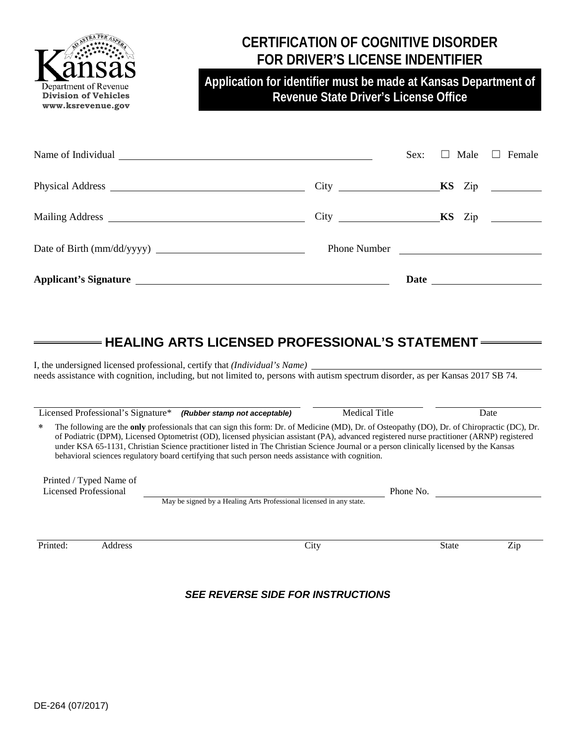

### **CERTIFICATION OF COGNITIVE DISORDER FOR DRIVER'S LICENSE INDENTIFIER**

**Application for identifier must be made at Kansas Department of Revenue State Driver's License Office**

|              | Sex: | $\Box$ Male | Female<br>$\Box$ |
|--------------|------|-------------|------------------|
|              |      |             |                  |
|              |      |             |                  |
| Phone Number |      |             |                  |
|              |      |             |                  |
|              |      |             |                  |

### **HEALING ARTS LICENSED PROFESSIONAL'S STATEMENT**

I, the undersigned licensed professional, certify that *(Individual's Name)* needs assistance with cognition, including, but not limited to, persons with autism spectrum disorder, as per Kansas 2017 SB 74.

|                                                                                                                                                                                                                                                                                                                                                                                                                                                                                                                                                  | Licensed Professional's Signature*               |                                                                                  | (Rubber stamp not acceptable) | <b>Medical Title</b> |              | Date |  |  |  |
|--------------------------------------------------------------------------------------------------------------------------------------------------------------------------------------------------------------------------------------------------------------------------------------------------------------------------------------------------------------------------------------------------------------------------------------------------------------------------------------------------------------------------------------------------|--------------------------------------------------|----------------------------------------------------------------------------------|-------------------------------|----------------------|--------------|------|--|--|--|
| The following are the only professionals that can sign this form: Dr. of Medicine (MD), Dr. of Osteopathy (DO), Dr. of Chiropractic (DC), Dr.<br>*<br>of Podiatric (DPM), Licensed Optometrist (OD), licensed physician assistant (PA), advanced registered nurse practitioner (ARNP) registered<br>under KSA 65-1131, Christian Science practitioner listed in The Christian Science Journal or a person clinically licensed by the Kansas<br>behavioral sciences regulatory board certifying that such person needs assistance with cognition. |                                                  |                                                                                  |                               |                      |              |      |  |  |  |
|                                                                                                                                                                                                                                                                                                                                                                                                                                                                                                                                                  | Printed / Typed Name of<br>Licensed Professional |                                                                                  |                               |                      |              |      |  |  |  |
|                                                                                                                                                                                                                                                                                                                                                                                                                                                                                                                                                  |                                                  | Phone No.<br>May be signed by a Healing Arts Professional licensed in any state. |                               |                      |              |      |  |  |  |
|                                                                                                                                                                                                                                                                                                                                                                                                                                                                                                                                                  |                                                  |                                                                                  |                               |                      |              |      |  |  |  |
| Printed:                                                                                                                                                                                                                                                                                                                                                                                                                                                                                                                                         | Address                                          |                                                                                  | City                          |                      | <b>State</b> | Zip  |  |  |  |

#### *SEE REVERSE SIDE FOR INSTRUCTIONS*